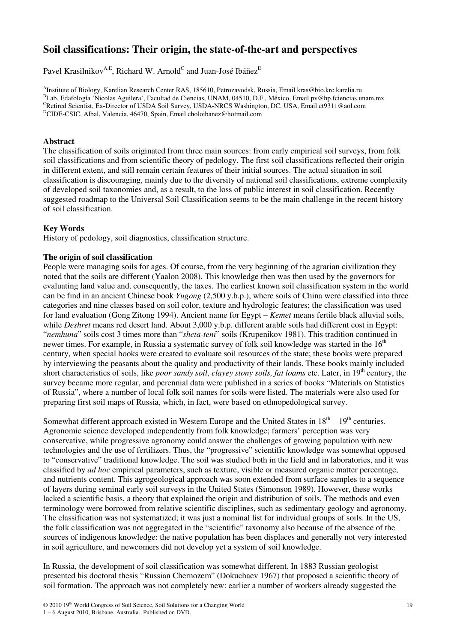# **Soil classifications: Their origin, the state-of-the-art and perspectives**

Pavel Krasilnikov $^{\rm A,E}$ , Richard W. Arnold $^{\rm C}$  and Juan-José Ibáñez $^{\rm D}$ 

A Institute of Biology, Karelian Research Center RAS, 185610, Petrozavodsk, Russia, Email kras@bio.krc.karelia.ru <sup>B</sup>Lab. Edafología 'Nicolas Aguilera', Facultad de Ciencias, UNAM, 04510, D.F., México, Email pv@hp.fciencias.unam.mx CRetired Scientist, Ex-Director of USDA Soil Survey, USDA-NRCS Washington, DC, USA, Email ct9311@aol.com <sup>D</sup>CIDE-CSIC, Albal, Valencia, 46470, Spain, Email choloibanez@hotmail.com

### **Abstract**

The classification of soils originated from three main sources: from early empirical soil surveys, from folk soil classifications and from scientific theory of pedology. The first soil classifications reflected their origin in different extent, and still remain certain features of their initial sources. The actual situation in soil classification is discouraging, mainly due to the diversity of national soil classifications, extreme complexity of developed soil taxonomies and, as a result, to the loss of public interest in soil classification. Recently suggested roadmap to the Universal Soil Classification seems to be the main challenge in the recent history of soil classification.

### **Key Words**

History of pedology, soil diagnostics, classification structure.

### **The origin of soil classification**

People were managing soils for ages. Of course, from the very beginning of the agrarian civilization they noted that the soils are different (Yaalon 2008). This knowledge then was then used by the governors for evaluating land value and, consequently, the taxes. The earliest known soil classification system in the world can be find in an ancient Chinese book *Yugong* (2,500 y.b.p.), where soils of China were classified into three categories and nine classes based on soil color, texture and hydrologic features; the classification was used for land evaluation (Gong Zitong 1994). Ancient name for Egypt – *Kemet* means fertile black alluvial soils, while *Deshret* means red desert land. About 3,000 y.b.p. different arable soils had different cost in Egypt: "*nemhuna*" soils cost 3 times more than "*sheta*-*teni*" soils (Krupenikov 1981). This tradition continued in newer times. For example, in Russia a systematic survey of folk soil knowledge was started in the 16<sup>th</sup> century, when special books were created to evaluate soil resources of the state; these books were prepared by interviewing the peasants about the quality and productivity of their lands. These books mainly included short characteristics of soils, like *poor sandy soil*, *clayey stony soils, fat loams* etc. Later, in 19th century, the survey became more regular, and perennial data were published in a series of books "Materials on Statistics of Russia", where a number of local folk soil names for soils were listed. The materials were also used for preparing first soil maps of Russia, which, in fact, were based on ethnopedological survey.

Somewhat different approach existed in Western Europe and the United States in  $18<sup>th</sup> - 19<sup>th</sup>$  centuries. Agronomic science developed independently from folk knowledge; farmers' perception was very conservative, while progressive agronomy could answer the challenges of growing population with new technologies and the use of fertilizers. Thus, the "progressive" scientific knowledge was somewhat opposed to "conservative" traditional knowledge. The soil was studied both in the field and in laboratories, and it was classified by *ad hoc* empirical parameters, such as texture, visible or measured organic matter percentage, and nutrients content. This agrogeological approach was soon extended from surface samples to a sequence of layers during seminal early soil surveys in the United States (Simonson 1989). However, these works lacked a scientific basis, a theory that explained the origin and distribution of soils. The methods and even terminology were borrowed from relative scientific disciplines, such as sedimentary geology and agronomy. The classification was not systematized; it was just a nominal list for individual groups of soils. In the US, the folk classification was not aggregated in the "scientific" taxonomy also because of the absence of the sources of indigenous knowledge: the native population has been displaces and generally not very interested in soil agriculture, and newcomers did not develop yet a system of soil knowledge.

In Russia, the development of soil classification was somewhat different. In 1883 Russian geologist presented his doctoral thesis "Russian Chernozem" (Dokuchaev 1967) that proposed a scientific theory of soil formation. The approach was not completely new: earlier a number of workers already suggested the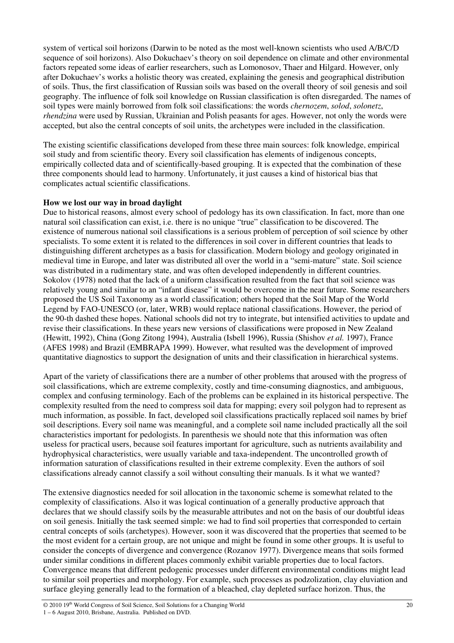system of vertical soil horizons (Darwin to be noted as the most well-known scientists who used A/B/C/D sequence of soil horizons). Also Dokuchaev's theory on soil dependence on climate and other environmental factors repeated some ideas of earlier researchers, such as Lomonosov, Thaer and Hilgard. However, only after Dokuchaev's works a holistic theory was created, explaining the genesis and geographical distribution of soils. Thus, the first classification of Russian soils was based on the overall theory of soil genesis and soil geography. The influence of folk soil knowledge on Russian classification is often disregarded. The names of soil types were mainly borrowed from folk soil classifications: the words *chernozem*, *solod*, *solonetz*, *rhendzina* were used by Russian, Ukrainian and Polish peasants for ages. However, not only the words were accepted, but also the central concepts of soil units, the archetypes were included in the classification.

The existing scientific classifications developed from these three main sources: folk knowledge, empirical soil study and from scientific theory. Every soil classification has elements of indigenous concepts, empirically collected data and of scientifically-based grouping. It is expected that the combination of these three components should lead to harmony. Unfortunately, it just causes a kind of historical bias that complicates actual scientific classifications.

# **How we lost our way in broad daylight**

Due to historical reasons, almost every school of pedology has its own classification. In fact, more than one natural soil classification can exist, i.e. there is no unique "true" classification to be discovered. The existence of numerous national soil classifications is a serious problem of perception of soil science by other specialists. To some extent it is related to the differences in soil cover in different countries that leads to distinguishing different archetypes as a basis for classification. Modern biology and geology originated in medieval time in Europe, and later was distributed all over the world in a "semi-mature" state. Soil science was distributed in a rudimentary state, and was often developed independently in different countries. Sokolov (1978) noted that the lack of a uniform classification resulted from the fact that soil science was relatively young and similar to an "infant disease" it would be overcome in the near future. Some researchers proposed the US Soil Taxonomy as a world classification; others hoped that the Soil Map of the World Legend by FAO-UNESCO (or, later, WRB) would replace national classifications. However, the period of the 90-th dashed these hopes. National schools did not try to integrate, but intensified activities to update and revise their classifications. In these years new versions of classifications were proposed in New Zealand (Hewitt, 1992), China (Gong Zitong 1994), Australia (Isbell 1996), Russia (Shishov *et al.* 1997), France (AFES 1998) and Brazil (EMBRAPA 1999). However, what resulted was the development of improved quantitative diagnostics to support the designation of units and their classification in hierarchical systems.

Apart of the variety of classifications there are a number of other problems that aroused with the progress of soil classifications, which are extreme complexity, costly and time-consuming diagnostics, and ambiguous, complex and confusing terminology. Each of the problems can be explained in its historical perspective. The complexity resulted from the need to compress soil data for mapping; every soil polygon had to represent as much information, as possible. In fact, developed soil classifications practically replaced soil names by brief soil descriptions. Every soil name was meaningful, and a complete soil name included practically all the soil characteristics important for pedologists. In parenthesis we should note that this information was often useless for practical users, because soil features important for agriculture, such as nutrients availability and hydrophysical characteristics, were usually variable and taxa-independent. The uncontrolled growth of information saturation of classifications resulted in their extreme complexity. Even the authors of soil classifications already cannot classify a soil without consulting their manuals. Is it what we wanted?

The extensive diagnostics needed for soil allocation in the taxonomic scheme is somewhat related to the complexity of classifications. Also it was logical continuation of a generally productive approach that declares that we should classify soils by the measurable attributes and not on the basis of our doubtful ideas on soil genesis. Initially the task seemed simple: we had to find soil properties that corresponded to certain central concepts of soils (archetypes). However, soon it was discovered that the properties that seemed to be the most evident for a certain group, are not unique and might be found in some other groups. It is useful to consider the concepts of divergence and convergence (Rozanov 1977). Divergence means that soils formed under similar conditions in different places commonly exhibit variable properties due to local factors. Convergence means that different pedogenic processes under different environmental conditions might lead to similar soil properties and morphology. For example, such processes as podzolization, clay eluviation and surface gleying generally lead to the formation of a bleached, clay depleted surface horizon. Thus, the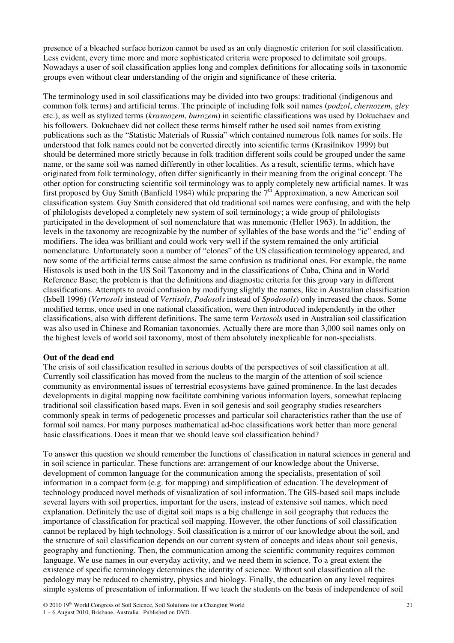presence of a bleached surface horizon cannot be used as an only diagnostic criterion for soil classification. Less evident, every time more and more sophisticated criteria were proposed to delimitate soil groups. Nowadays a user of soil classification applies long and complex definitions for allocating soils in taxonomic groups even without clear understanding of the origin and significance of these criteria.

The terminology used in soil classifications may be divided into two groups: traditional (indigenous and common folk terms) and artificial terms. The principle of including folk soil names (*podzol*, *chernozem*, *gley* etc.), as well as stylized terms (*krasnozem*, *burozem*) in scientific classifications was used by Dokuchaev and his followers. Dokuchaev did not collect these terms himself rather he used soil names from existing publications such as the "Statistic Materials of Russia" which contained numerous folk names for soils. He understood that folk names could not be converted directly into scientific terms (Krasilnikov 1999) but should be determined more strictly because in folk tradition different soils could be grouped under the same name, or the same soil was named differently in other localities. As a result, scientific terms, which have originated from folk terminology, often differ significantly in their meaning from the original concept. The other option for constructing scientific soil terminology was to apply completely new artificial names. It was first proposed by Guy Smith (Banfield 1984) while preparing the 7<sup>th</sup> Approximation, a new American soil classification system. Guy Smith considered that old traditional soil names were confusing, and with the help of philologists developed a completely new system of soil terminology; a wide group of philologists participated in the development of soil nomenclature that was mnemonic (Heller 1963). In addition, the levels in the taxonomy are recognizable by the number of syllables of the base words and the "ic" ending of modifiers. The idea was brilliant and could work very well if the system remained the only artificial nomenclature. Unfortunately soon a number of "clones" of the US classification terminology appeared, and now some of the artificial terms cause almost the same confusion as traditional ones. For example, the name Histosols is used both in the US Soil Taxonomy and in the classifications of Cuba, China and in World Reference Base; the problem is that the definitions and diagnostic criteria for this group vary in different classifications. Attempts to avoid confusion by modifying slightly the names, like in Australian classification (Isbell 1996) (*Vertosols* instead of *Vertisols*, *Podosols* instead of *Spodosols*) only increased the chaos. Some modified terms, once used in one national classification, were then introduced independently in the other classifications, also with different definitions. The same term *Vertosols* used in Australian soil classification was also used in Chinese and Romanian taxonomies. Actually there are more than 3,000 soil names only on the highest levels of world soil taxonomy, most of them absolutely inexplicable for non-specialists.

# **Out of the dead end**

The crisis of soil classification resulted in serious doubts of the perspectives of soil classification at all. Currently soil classification has moved from the nucleus to the margin of the attention of soil science community as environmental issues of terrestrial ecosystems have gained prominence. In the last decades developments in digital mapping now facilitate combining various information layers, somewhat replacing traditional soil classification based maps. Even in soil genesis and soil geography studies researchers commonly speak in terms of pedogenetic processes and particular soil characteristics rather than the use of formal soil names. For many purposes mathematical ad-hoc classifications work better than more general basic classifications. Does it mean that we should leave soil classification behind?

To answer this question we should remember the functions of classification in natural sciences in general and in soil science in particular. These functions are: arrangement of our knowledge about the Universe, development of common language for the communication among the specialists, presentation of soil information in a compact form (e.g. for mapping) and simplification of education. The development of technology produced novel methods of visualization of soil information. The GIS-based soil maps include several layers with soil properties, important for the users, instead of extensive soil names, which need explanation. Definitely the use of digital soil maps is a big challenge in soil geography that reduces the importance of classification for practical soil mapping. However, the other functions of soil classification cannot be replaced by high technology. Soil classification is a mirror of our knowledge about the soil, and the structure of soil classification depends on our current system of concepts and ideas about soil genesis, geography and functioning. Then, the communication among the scientific community requires common language. We use names in our everyday activity, and we need them in science. To a great extent the existence of specific terminology determines the identity of science. Without soil classification all the pedology may be reduced to chemistry, physics and biology. Finally, the education on any level requires simple systems of presentation of information. If we teach the students on the basis of independence of soil